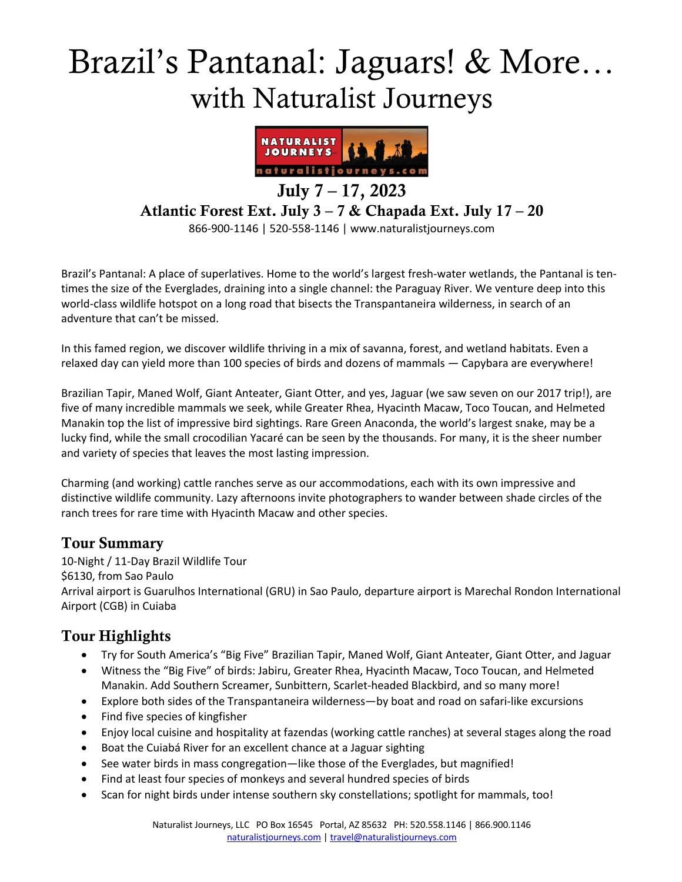# Brazil's Pantanal: Jaguars! & More… with Naturalist Journeys



## July 7 – 17, 2023 Atlantic Forest Ext. July 3 – 7 & Chapada Ext. July 17 – 20

866-900-1146 | 520-558-1146 | www.naturalistjourneys.com

Brazil's Pantanal: A place of superlatives. Home to the world's largest fresh-water wetlands, the Pantanal is tentimes the size of the Everglades, draining into a single channel: the Paraguay River. We venture deep into this world-class wildlife hotspot on a long road that bisects the Transpantaneira wilderness, in search of an adventure that can't be missed.

In this famed region, we discover wildlife thriving in a mix of savanna, forest, and wetland habitats. Even a relaxed day can yield more than 100 species of birds and dozens of mammals — Capybara are everywhere!

Brazilian Tapir, Maned Wolf, Giant Anteater, Giant Otter, and yes, Jaguar (we saw seven on our 2017 trip!), are five of many incredible mammals we seek, while Greater Rhea, Hyacinth Macaw, Toco Toucan, and Helmeted Manakin top the list of impressive bird sightings. Rare Green Anaconda, the world's largest snake, may be a lucky find, while the small crocodilian Yacaré can be seen by the thousands. For many, it is the sheer number and variety of species that leaves the most lasting impression.

Charming (and working) cattle ranches serve as our accommodations, each with its own impressive and distinctive wildlife community. Lazy afternoons invite photographers to wander between shade circles of the ranch trees for rare time with Hyacinth Macaw and other species.

#### Tour Summary

10-Night / 11-Day Brazil Wildlife Tour \$6130, from Sao Paulo Arrival airport is Guarulhos International (GRU) in Sao Paulo, departure airport is Marechal Rondon International Airport (CGB) in Cuiaba

## Tour Highlights

- Try for South America's "Big Five" Brazilian Tapir, Maned Wolf, Giant Anteater, Giant Otter, and Jaguar
- Witness the "Big Five" of birds: Jabiru, Greater Rhea, Hyacinth Macaw, Toco Toucan, and Helmeted Manakin. Add Southern Screamer, Sunbittern, Scarlet-headed Blackbird, and so many more!
- Explore both sides of the Transpantaneira wilderness—by boat and road on safari-like excursions
- Find five species of kingfisher
- Enjoy local cuisine and hospitality at fazendas (working cattle ranches) at several stages along the road
- Boat the Cuiabá River for an excellent chance at a Jaguar sighting
- See water birds in mass congregation—like those of the Everglades, but magnified!
- Find at least four species of monkeys and several hundred species of birds
- Scan for night birds under intense southern sky constellations; spotlight for mammals, too!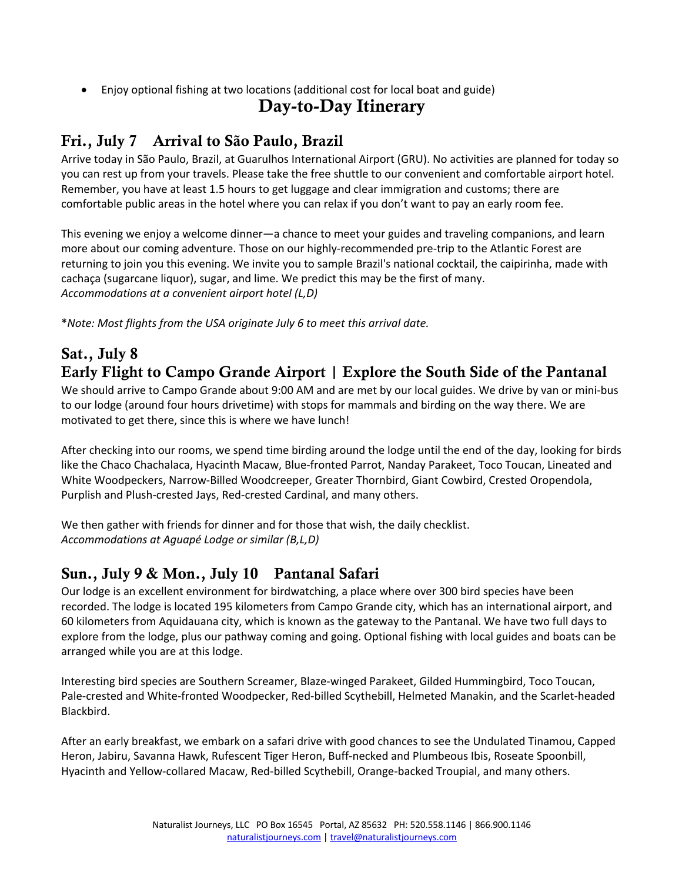• Enjoy optional fishing at two locations (additional cost for local boat and guide)

## Day-to-Day Itinerary

# Fri., July 7 Arrival to São Paulo, Brazil

Arrive today in São Paulo, Brazil, at Guarulhos International Airport (GRU). No activities are planned for today so you can rest up from your travels. Please take the free shuttle to our convenient and comfortable airport hotel. Remember, you have at least 1.5 hours to get luggage and clear immigration and customs; there are comfortable public areas in the hotel where you can relax if you don't want to pay an early room fee.

This evening we enjoy a welcome dinner―a chance to meet your guides and traveling companions, and learn more about our coming adventure. Those on our highly-recommended pre-trip to the Atlantic Forest are returning to join you this evening. We invite you to sample Brazil's national cocktail, the caipirinha, made with cachaça (sugarcane liquor), sugar, and lime. We predict this may be the first of many. *Accommodations at a convenient airport hotel (L,D)* 

\**Note: Most flights from the USA originate July 6 to meet this arrival date.*

# Sat., July 8 Early Flight to Campo Grande Airport | Explore the South Side of the Pantanal

We should arrive to Campo Grande about 9:00 AM and are met by our local guides. We drive by van or mini-bus to our lodge (around four hours drivetime) with stops for mammals and birding on the way there. We are motivated to get there, since this is where we have lunch!

After checking into our rooms, we spend time birding around the lodge until the end of the day, looking for birds like the Chaco Chachalaca, Hyacinth Macaw, Blue-fronted Parrot, Nanday Parakeet, Toco Toucan, Lineated and White Woodpeckers, Narrow-Billed Woodcreeper, Greater Thornbird, Giant Cowbird, Crested Oropendola, Purplish and Plush-crested Jays, Red-crested Cardinal, and many others.

We then gather with friends for dinner and for those that wish, the daily checklist. *Accommodations at Aguapé Lodge or similar (B,L,D)*

## Sun., July 9 & Mon., July 10 Pantanal Safari

Our lodge is an excellent environment for birdwatching, a place where over 300 bird species have been recorded. The lodge is located 195 kilometers from Campo Grande city, which has an international airport, and 60 kilometers from Aquidauana city, which is known as the gateway to the Pantanal. We have two full days to explore from the lodge, plus our pathway coming and going. Optional fishing with local guides and boats can be arranged while you are at this lodge.

Interesting bird species are Southern Screamer, Blaze-winged Parakeet, Gilded Hummingbird, Toco Toucan, Pale-crested and White-fronted Woodpecker, Red-billed Scythebill, Helmeted Manakin, and the Scarlet-headed Blackbird.

After an early breakfast, we embark on a safari drive with good chances to see the Undulated Tinamou, Capped Heron, Jabiru, Savanna Hawk, Rufescent Tiger Heron, Buff-necked and Plumbeous Ibis, Roseate Spoonbill, Hyacinth and Yellow-collared Macaw, Red-billed Scythebill, Orange-backed Troupial, and many others.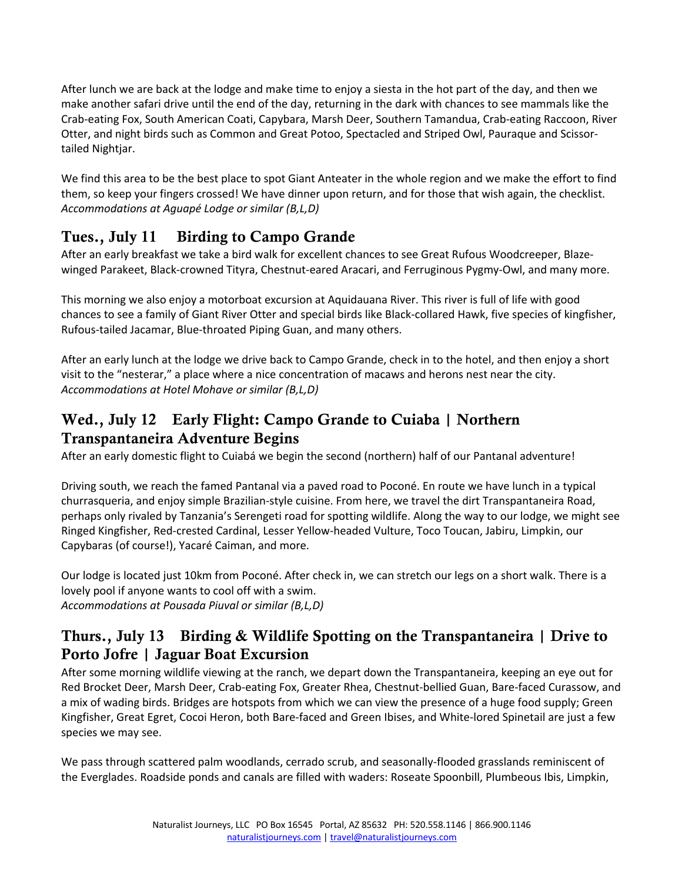After lunch we are back at the lodge and make time to enjoy a siesta in the hot part of the day, and then we make another safari drive until the end of the day, returning in the dark with chances to see mammals like the Crab-eating Fox, South American Coati, Capybara, Marsh Deer, Southern Tamandua, Crab-eating Raccoon, River Otter, and night birds such as Common and Great Potoo, Spectacled and Striped Owl, Pauraque and Scissortailed Nightjar.

We find this area to be the best place to spot Giant Anteater in the whole region and we make the effort to find them, so keep your fingers crossed! We have dinner upon return, and for those that wish again, the checklist. *Accommodations at Aguapé Lodge or similar (B,L,D)*

## Tues., July 11 Birding to Campo Grande

After an early breakfast we take a bird walk for excellent chances to see Great Rufous Woodcreeper, Blazewinged Parakeet, Black-crowned Tityra, Chestnut-eared Aracari, and Ferruginous Pygmy-Owl, and many more.

This morning we also enjoy a motorboat excursion at Aquidauana River. This river is full of life with good chances to see a family of Giant River Otter and special birds like Black-collared Hawk, five species of kingfisher, Rufous-tailed Jacamar, Blue-throated Piping Guan, and many others.

After an early lunch at the lodge we drive back to Campo Grande, check in to the hotel, and then enjoy a short visit to the "nesterar," a place where a nice concentration of macaws and herons nest near the city. *Accommodations at Hotel Mohave or similar (B,L,D)* 

## Wed., July 12 Early Flight: Campo Grande to Cuiaba | Northern Transpantaneira Adventure Begins

After an early domestic flight to Cuiabá we begin the second (northern) half of our Pantanal adventure!

Driving south, we reach the famed Pantanal via a paved road to Poconé. En route we have lunch in a typical churrasqueria, and enjoy simple Brazilian-style cuisine. From here, we travel the dirt Transpantaneira Road, perhaps only rivaled by Tanzania's Serengeti road for spotting wildlife. Along the way to our lodge, we might see Ringed Kingfisher, Red-crested Cardinal, Lesser Yellow-headed Vulture, Toco Toucan, Jabiru, Limpkin, our Capybaras (of course!), Yacaré Caiman, and more.

Our lodge is located just 10km from Poconé. After check in, we can stretch our legs on a short walk. There is a lovely pool if anyone wants to cool off with a swim. *Accommodations at Pousada Piuval or similar (B,L,D)* 

## Thurs., July 13 Birding & Wildlife Spotting on the Transpantaneira | Drive to Porto Jofre | Jaguar Boat Excursion

After some morning wildlife viewing at the ranch, we depart down the Transpantaneira, keeping an eye out for Red Brocket Deer, Marsh Deer, Crab-eating Fox, Greater Rhea, Chestnut-bellied Guan, Bare-faced Curassow, and a mix of wading birds. Bridges are hotspots from which we can view the presence of a huge food supply; Green Kingfisher, Great Egret, Cocoi Heron, both Bare-faced and Green Ibises, and White-lored Spinetail are just a few species we may see.

We pass through scattered palm woodlands, cerrado scrub, and seasonally-flooded grasslands reminiscent of the Everglades. Roadside ponds and canals are filled with waders: Roseate Spoonbill, Plumbeous Ibis, Limpkin,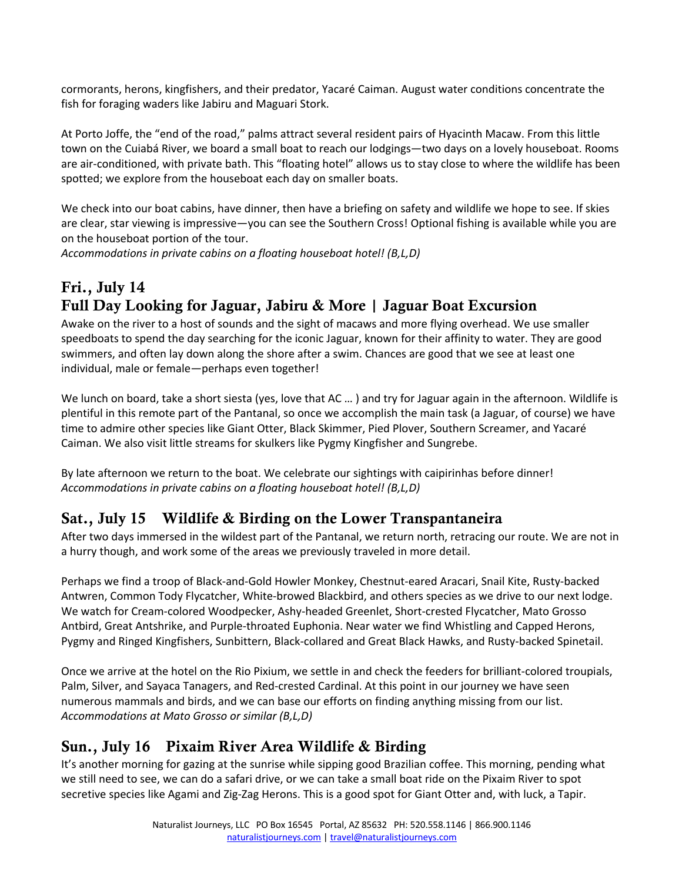cormorants, herons, kingfishers, and their predator, Yacaré Caiman. August water conditions concentrate the fish for foraging waders like Jabiru and Maguari Stork.

At Porto Joffe, the "end of the road," palms attract several resident pairs of Hyacinth Macaw. From this little town on the Cuiabá River, we board a small boat to reach our lodgings—two days on a lovely houseboat. Rooms are air-conditioned, with private bath. This "floating hotel" allows us to stay close to where the wildlife has been spotted; we explore from the houseboat each day on smaller boats.

We check into our boat cabins, have dinner, then have a briefing on safety and wildlife we hope to see. If skies are clear, star viewing is impressive―you can see the Southern Cross! Optional fishing is available while you are on the houseboat portion of the tour.

*Accommodations in private cabins on a floating houseboat hotel! (B,L,D)*

# Fri., July 14 Full Day Looking for Jaguar, Jabiru & More | Jaguar Boat Excursion

Awake on the river to a host of sounds and the sight of macaws and more flying overhead. We use smaller speedboats to spend the day searching for the iconic Jaguar, known for their affinity to water. They are good swimmers, and often lay down along the shore after a swim. Chances are good that we see at least one individual, male or female―perhaps even together!

We lunch on board, take a short siesta (yes, love that AC ...) and try for Jaguar again in the afternoon. Wildlife is plentiful in this remote part of the Pantanal, so once we accomplish the main task (a Jaguar, of course) we have time to admire other species like Giant Otter, Black Skimmer, Pied Plover, Southern Screamer, and Yacaré Caiman. We also visit little streams for skulkers like Pygmy Kingfisher and Sungrebe.

By late afternoon we return to the boat. We celebrate our sightings with caipirinhas before dinner! *Accommodations in private cabins on a floating houseboat hotel! (B,L,D)* 

## Sat., July 15 Wildlife & Birding on the Lower Transpantaneira

After two days immersed in the wildest part of the Pantanal, we return north, retracing our route. We are not in a hurry though, and work some of the areas we previously traveled in more detail.

Perhaps we find a troop of Black-and-Gold Howler Monkey, Chestnut-eared Aracari, Snail Kite, Rusty-backed Antwren, Common Tody Flycatcher, White-browed Blackbird, and others species as we drive to our next lodge. We watch for Cream-colored Woodpecker, Ashy-headed Greenlet, Short-crested Flycatcher, Mato Grosso Antbird, Great Antshrike, and Purple-throated Euphonia. Near water we find Whistling and Capped Herons, Pygmy and Ringed Kingfishers, Sunbittern, Black-collared and Great Black Hawks, and Rusty-backed Spinetail.

Once we arrive at the hotel on the Rio Pixium, we settle in and check the feeders for brilliant-colored troupials, Palm, Silver, and Sayaca Tanagers, and Red-crested Cardinal. At this point in our journey we have seen numerous mammals and birds, and we can base our efforts on finding anything missing from our list. *Accommodations at Mato Grosso or similar (B,L,D)*

## Sun., July 16 Pixaim River Area Wildlife & Birding

It's another morning for gazing at the sunrise while sipping good Brazilian coffee. This morning, pending what we still need to see, we can do a safari drive, or we can take a small boat ride on the Pixaim River to spot secretive species like Agami and Zig-Zag Herons. This is a good spot for Giant Otter and, with luck, a Tapir.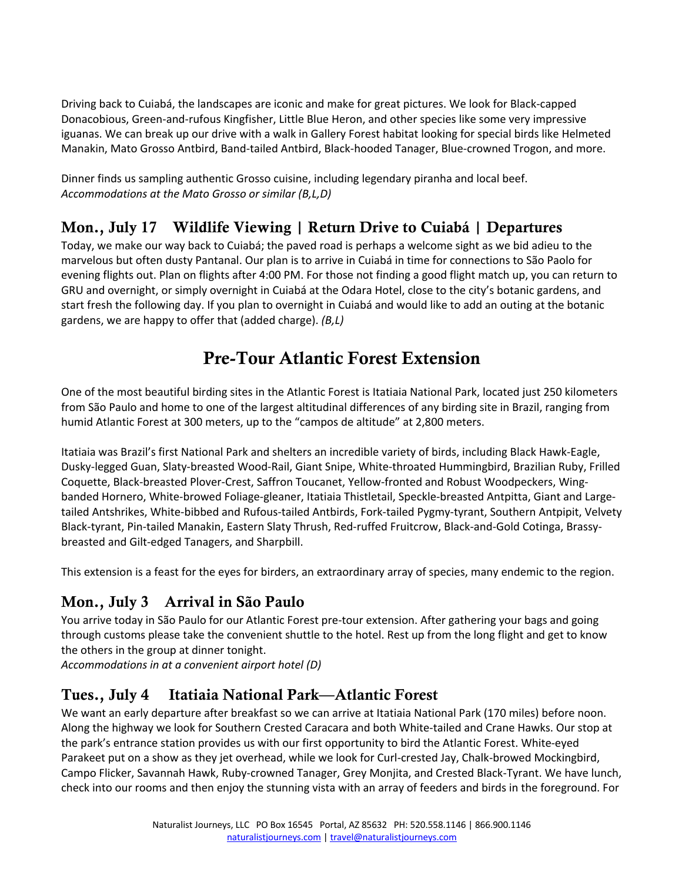Driving back to Cuiabá, the landscapes are iconic and make for great pictures. We look for Black-capped Donacobious, Green-and-rufous Kingfisher, Little Blue Heron, and other species like some very impressive iguanas. We can break up our drive with a walk in Gallery Forest habitat looking for special birds like Helmeted Manakin, Mato Grosso Antbird, Band-tailed Antbird, Black-hooded Tanager, Blue-crowned Trogon, and more.

Dinner finds us sampling authentic Grosso cuisine, including legendary piranha and local beef. *Accommodations at the Mato Grosso or similar (B,L,D)*

# Mon., July 17 Wildlife Viewing | Return Drive to Cuiabá | Departures

Today, we make our way back to Cuiabá; the paved road is perhaps a welcome sight as we bid adieu to the marvelous but often dusty Pantanal. Our plan is to arrive in Cuiabá in time for connections to São Paolo for evening flights out. Plan on flights after 4:00 PM. For those not finding a good flight match up, you can return to GRU and overnight, or simply overnight in Cuiabá at the Odara Hotel, close to the city's botanic gardens, and start fresh the following day. If you plan to overnight in Cuiabá and would like to add an outing at the botanic gardens, we are happy to offer that (added charge). *(B,L)*

# Pre-Tour Atlantic Forest Extension

One of the most beautiful birding sites in the Atlantic Forest is Itatiaia National Park, located just 250 kilometers from São Paulo and home to one of the largest altitudinal differences of any birding site in Brazil, ranging from humid Atlantic Forest at 300 meters, up to the "campos de altitude" at 2,800 meters.

Itatiaia was Brazil's first National Park and shelters an incredible variety of birds, including Black Hawk-Eagle, Dusky-legged Guan, Slaty-breasted Wood-Rail, Giant Snipe, White-throated Hummingbird, Brazilian Ruby, Frilled Coquette, Black-breasted Plover-Crest, Saffron Toucanet, Yellow-fronted and Robust Woodpeckers, Wingbanded Hornero, White-browed Foliage-gleaner, Itatiaia Thistletail, Speckle-breasted Antpitta, Giant and Largetailed Antshrikes, White-bibbed and Rufous-tailed Antbirds, Fork-tailed Pygmy-tyrant, Southern Antpipit, Velvety Black-tyrant, Pin-tailed Manakin, Eastern Slaty Thrush, Red-ruffed Fruitcrow, Black-and-Gold Cotinga, Brassybreasted and Gilt-edged Tanagers, and Sharpbill.

This extension is a feast for the eyes for birders, an extraordinary array of species, many endemic to the region.

## Mon., July 3 Arrival in São Paulo

You arrive today in São Paulo for our Atlantic Forest pre-tour extension. After gathering your bags and going through customs please take the convenient shuttle to the hotel. Rest up from the long flight and get to know the others in the group at dinner tonight.

*Accommodations in at a convenient airport hotel (D)*

## Tues., July 4 Itatiaia National Park—Atlantic Forest

We want an early departure after breakfast so we can arrive at Itatiaia National Park (170 miles) before noon. Along the highway we look for Southern Crested Caracara and both White-tailed and Crane Hawks. Our stop at the park's entrance station provides us with our first opportunity to bird the Atlantic Forest. White-eyed Parakeet put on a show as they jet overhead, while we look for Curl-crested Jay, Chalk-browed Mockingbird, Campo Flicker, Savannah Hawk, Ruby-crowned Tanager, Grey Monjita, and Crested Black-Tyrant. We have lunch, check into our rooms and then enjoy the stunning vista with an array of feeders and birds in the foreground. For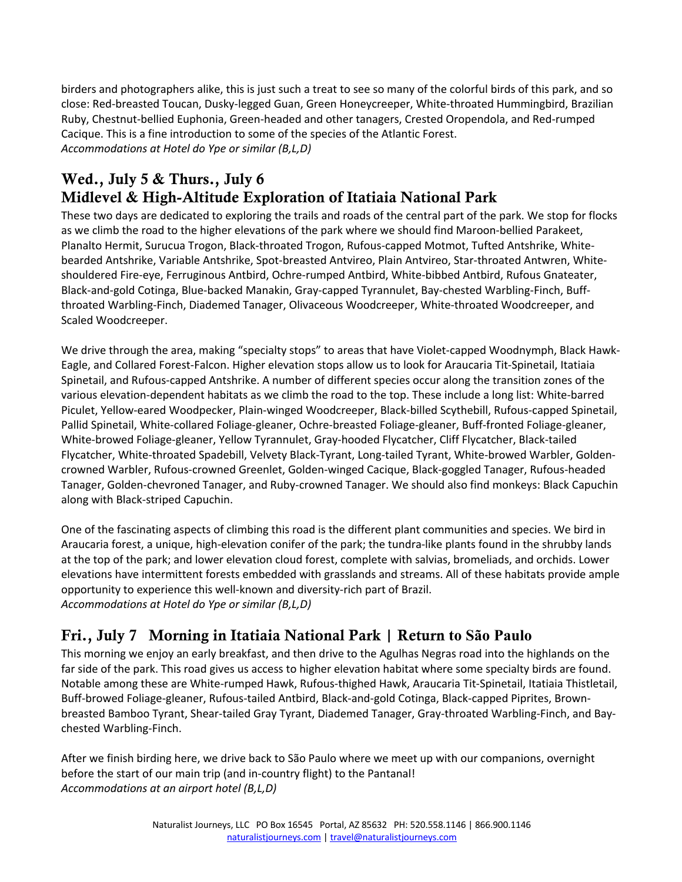birders and photographers alike, this is just such a treat to see so many of the colorful birds of this park, and so close: Red-breasted Toucan, Dusky-legged Guan, Green Honeycreeper, White-throated Hummingbird, Brazilian Ruby, Chestnut-bellied Euphonia, Green-headed and other tanagers, Crested Oropendola, and Red-rumped Cacique. This is a fine introduction to some of the species of the Atlantic Forest. *Accommodations at Hotel do Ype or similar (B,L,D)*

## Wed., July 5 & Thurs., July 6 Midlevel & High-Altitude Exploration of Itatiaia National Park

These two days are dedicated to exploring the trails and roads of the central part of the park. We stop for flocks as we climb the road to the higher elevations of the park where we should find Maroon-bellied Parakeet, Planalto Hermit, Surucua Trogon, Black-throated Trogon, Rufous-capped Motmot, Tufted Antshrike, Whitebearded Antshrike, Variable Antshrike, Spot-breasted Antvireo, Plain Antvireo, Star-throated Antwren, Whiteshouldered Fire-eye, Ferruginous Antbird, Ochre-rumped Antbird, White-bibbed Antbird, Rufous Gnateater, Black-and-gold Cotinga, Blue-backed Manakin, Gray-capped Tyrannulet, Bay-chested Warbling-Finch, Buffthroated Warbling-Finch, Diademed Tanager, Olivaceous Woodcreeper, White-throated Woodcreeper, and Scaled Woodcreeper.

We drive through the area, making "specialty stops" to areas that have Violet-capped Woodnymph, Black Hawk-Eagle, and Collared Forest-Falcon. Higher elevation stops allow us to look for Araucaria Tit-Spinetail, Itatiaia Spinetail, and Rufous-capped Antshrike. A number of different species occur along the transition zones of the various elevation-dependent habitats as we climb the road to the top. These include a long list: White-barred Piculet, Yellow-eared Woodpecker, Plain-winged Woodcreeper, Black-billed Scythebill, Rufous-capped Spinetail, Pallid Spinetail, White-collared Foliage-gleaner, Ochre-breasted Foliage-gleaner, Buff-fronted Foliage-gleaner, White-browed Foliage-gleaner, Yellow Tyrannulet, Gray-hooded Flycatcher, Cliff Flycatcher, Black-tailed Flycatcher, White-throated Spadebill, Velvety Black-Tyrant, Long-tailed Tyrant, White-browed Warbler, Goldencrowned Warbler, Rufous-crowned Greenlet, Golden-winged Cacique, Black-goggled Tanager, Rufous-headed Tanager, Golden-chevroned Tanager, and Ruby-crowned Tanager. We should also find monkeys: Black Capuchin along with Black-striped Capuchin.

One of the fascinating aspects of climbing this road is the different plant communities and species. We bird in Araucaria forest, a unique, high-elevation conifer of the park; the tundra-like plants found in the shrubby lands at the top of the park; and lower elevation cloud forest, complete with salvias, bromeliads, and orchids. Lower elevations have intermittent forests embedded with grasslands and streams. All of these habitats provide ample opportunity to experience this well-known and diversity-rich part of Brazil. *Accommodations at Hotel do Ype or similar (B,L,D)* 

# Fri., July 7 Morning in Itatiaia National Park | Return **to São Paulo**

This morning we enjoy an early breakfast, and then drive to the Agulhas Negras road into the highlands on the far side of the park. This road gives us access to higher elevation habitat where some specialty birds are found. Notable among these are White-rumped Hawk, Rufous-thighed Hawk, Araucaria Tit-Spinetail, Itatiaia Thistletail, Buff-browed Foliage-gleaner, Rufous-tailed Antbird, Black-and-gold Cotinga, Black-capped Piprites, Brownbreasted Bamboo Tyrant, Shear-tailed Gray Tyrant, Diademed Tanager, Gray-throated Warbling-Finch, and Baychested Warbling-Finch.

After we finish birding here, we drive back to São Paulo where we meet up with our companions, overnight before the start of our main trip (and in-country flight) to the Pantanal! *Accommodations at an airport hotel (B,L,D)*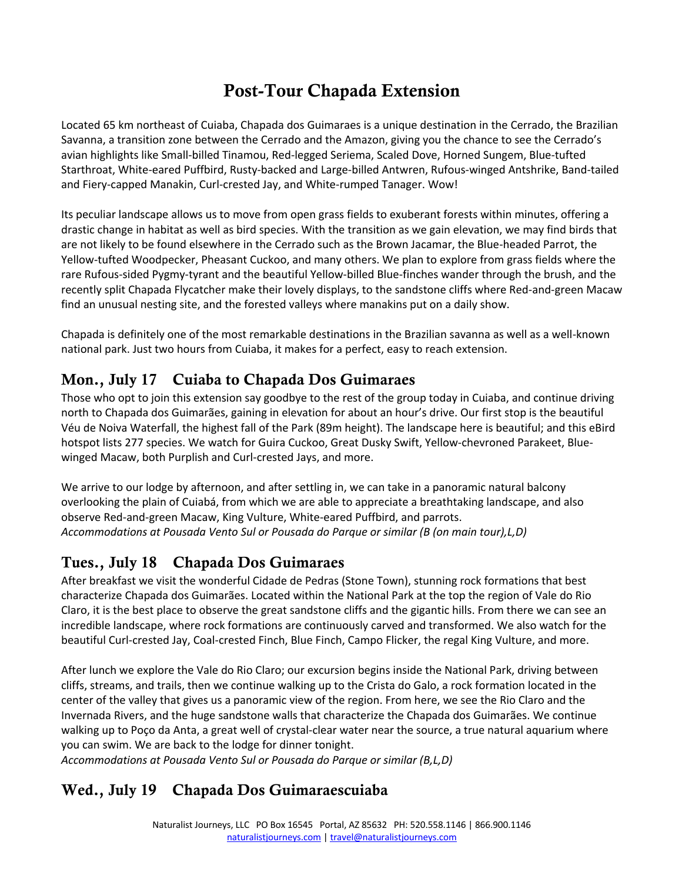# Post-Tour Chapada Extension

Located 65 km northeast of Cuiaba, Chapada dos Guimaraes is a unique destination in the Cerrado, the Brazilian Savanna, a transition zone between the Cerrado and the Amazon, giving you the chance to see the Cerrado's avian highlights like Small-billed Tinamou, Red-legged Seriema, Scaled Dove, Horned Sungem, Blue-tufted Starthroat, White-eared Puffbird, Rusty-backed and Large-billed Antwren, Rufous-winged Antshrike, Band-tailed and Fiery-capped Manakin, Curl-crested Jay, and White-rumped Tanager. Wow!

Its peculiar landscape allows us to move from open grass fields to exuberant forests within minutes, offering a drastic change in habitat as well as bird species. With the transition as we gain elevation, we may find birds that are not likely to be found elsewhere in the Cerrado such as the Brown Jacamar, the Blue-headed Parrot, the Yellow-tufted Woodpecker, Pheasant Cuckoo, and many others. We plan to explore from grass fields where the rare Rufous-sided Pygmy-tyrant and the beautiful Yellow-billed Blue-finches wander through the brush, and the recently split Chapada Flycatcher make their lovely displays, to the sandstone cliffs where Red-and-green Macaw find an unusual nesting site, and the forested valleys where manakins put on a daily show.

Chapada is definitely one of the most remarkable destinations in the Brazilian savanna as well as a well-known national park. Just two hours from Cuiaba, it makes for a perfect, easy to reach extension.

## Mon., July 17 Cuiaba to Chapada Dos Guimaraes

Those who opt to join this extension say goodbye to the rest of the group today in Cuiaba, and continue driving north to Chapada dos Guimarães, gaining in elevation for about an hour's drive. Our first stop is the beautiful Véu de Noiva Waterfall, the highest fall of the Park (89m height). The landscape here is beautiful; and this eBird hotspot lists 277 species. We watch for Guira Cuckoo, Great Dusky Swift, Yellow-chevroned Parakeet, Bluewinged Macaw, both Purplish and Curl-crested Jays, and more.

We arrive to our lodge by afternoon, and after settling in, we can take in a panoramic natural balcony overlooking the plain of Cuiabá, from which we are able to appreciate a breathtaking landscape, and also observe Red-and-green Macaw, King Vulture, White-eared Puffbird, and parrots. *Accommodations at Pousada Vento Sul or Pousada do Parque or similar (B (on main tour),L,D)*

## Tues., July 18 Chapada Dos Guimaraes

After breakfast we visit the wonderful Cidade de Pedras (Stone Town), stunning rock formations that best characterize Chapada dos Guimarães. Located within the National Park at the top the region of Vale do Rio Claro, it is the best place to observe the great sandstone cliffs and the gigantic hills. From there we can see an incredible landscape, where rock formations are continuously carved and transformed. We also watch for the beautiful Curl-crested Jay, Coal-crested Finch, Blue Finch, Campo Flicker, the regal King Vulture, and more.

After lunch we explore the Vale do Rio Claro; our excursion begins inside the National Park, driving between cliffs, streams, and trails, then we continue walking up to the Crista do Galo, a rock formation located in the center of the valley that gives us a panoramic view of the region. From here, we see the Rio Claro and the Invernada Rivers, and the huge sandstone walls that characterize the Chapada dos Guimarães. We continue walking up to Poço da Anta, a great well of crystal-clear water near the source, a true natural aquarium where you can swim. We are back to the lodge for dinner tonight.

*Accommodations at Pousada Vento Sul or Pousada do Parque or similar (B,L,D)*

## Wed., July 19 Chapada Dos Guimaraescuiaba